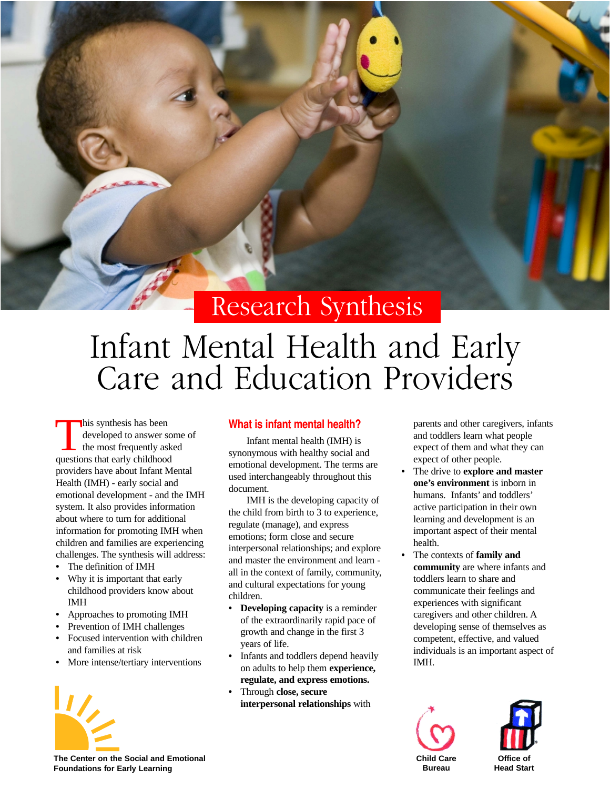

## Research Synthesis

# Infant Mental Health and Early Care and Education Providers

his synthesis has been developed to answer some of the most frequently asked questions that early childhood providers have about Infant Mental Health (IMH) - early social and emotional development - and the IMH system. It also provides information about where to turn for additional information for promoting IMH when children and families are experiencing challenges. The synthesis will address:

- **•** The definition of IMH
- **•** Why it is important that early childhood providers know about IMH
- **•** Approaches to promoting IMH
- **•** Prevention of IMH challenges
- **•** Focused intervention with children and families at risk
- **•** More intense/tertiary interventions



#### **What is infant mental health?**

Infant mental health (IMH) is synonymous with healthy social and emotional development. The terms are used interchangeably throughout this document.

IMH is the developing capacity of the child from birth to 3 to experience, regulate (manage), and express emotions; form close and secure interpersonal relationships; and explore and master the environment and learn all in the context of family, community, and cultural expectations for young children.

- **Developing capacity** is a reminder of the extraordinarily rapid pace of growth and change in the first 3 years of life.
- **•** Infants and toddlers depend heavily on adults to help them **experience, regulate, and express emotions.**
- **•** Through **close, secure interpersonal relationships** with

parents and other caregivers, infants and toddlers learn what people expect of them and what they can expect of other people.

- **•** The drive to **explore and master one's environment** is inborn in humans. Infants' and toddlers' active participation in their own learning and development is an important aspect of their mental health.
- **•** The contexts of **family and community** are where infants and toddlers learn to share and communicate their feelings and experiences with significant caregivers and other children. A developing sense of themselves as competent, effective, and valued individuals is an important aspect of IMH.





**The Center on the Social and Emotional Foundations for Early Learning**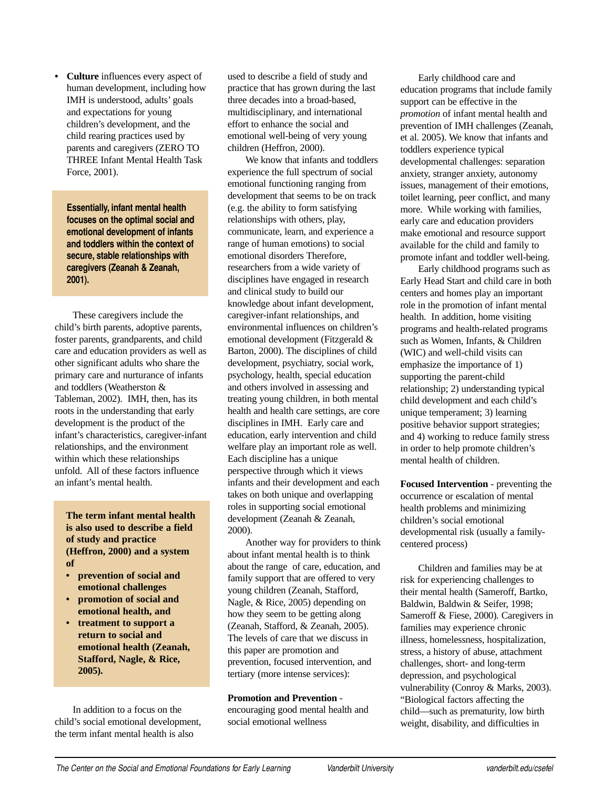**• Culture** influences every aspect of human development, including how IMH is understood, adults' goals and expectations for young children's development, and the child rearing practices used by parents and caregivers (ZERO TO THREE Infant Mental Health Task Force, 2001).

**Essentially, infant mental health focuses on the optimal social and emotional development of infants and toddlers within the context of secure, stable relationships with caregivers (Zeanah & Zeanah, 2001).**

These caregivers include the child's birth parents, adoptive parents, foster parents, grandparents, and child care and education providers as well as other significant adults who share the primary care and nurturance of infants and toddlers (Weatherston & Tableman, 2002). IMH, then, has its roots in the understanding that early development is the product of the infant's characteristics, caregiver-infant relationships, and the environment within which these relationships unfold. All of these factors influence an infant's mental health.

**The term infant mental health is also used to describe a field of study and practice (Heffron, 2000) and a system of** 

- **prevention of social and emotional challenges**
- **promotion of social and emotional health, and**
- **treatment to support a return to social and emotional health (Zeanah, Stafford, Nagle, & Rice, 2005).**

In addition to a focus on the child's social emotional development, the term infant mental health is also

used to describe a field of study and practice that has grown during the last three decades into a broad-based, multidisciplinary, and international effort to enhance the social and emotional well-being of very young children (Heffron, 2000).

We know that infants and toddlers experience the full spectrum of social emotional functioning ranging from development that seems to be on track (e.g. the ability to form satisfying relationships with others, play, communicate, learn, and experience a range of human emotions) to social emotional disorders Therefore, researchers from a wide variety of disciplines have engaged in research and clinical study to build our knowledge about infant development, caregiver-infant relationships, and environmental influences on children's emotional development (Fitzgerald & Barton, 2000). The disciplines of child development, psychiatry, social work, psychology, health, special education and others involved in assessing and treating young children, in both mental health and health care settings, are core disciplines in IMH. Early care and education, early intervention and child welfare play an important role as well. Each discipline has a unique perspective through which it views infants and their development and each takes on both unique and overlapping roles in supporting social emotional development (Zeanah & Zeanah, 2000).

Another way for providers to think about infant mental health is to think about the range of care, education, and family support that are offered to very young children (Zeanah, Stafford, Nagle, & Rice, 2005) depending on how they seem to be getting along (Zeanah, Stafford, & Zeanah, 2005). The levels of care that we discuss in this paper are promotion and prevention, focused intervention, and tertiary (more intense services):

#### **Promotion and Prevention** -

encouraging good mental health and social emotional wellness

Early childhood care and education programs that include family support can be effective in the *promotion* of infant mental health and prevention of IMH challenges (Zeanah, et al. 2005). We know that infants and toddlers experience typical developmental challenges: separation anxiety, stranger anxiety, autonomy issues, management of their emotions, toilet learning, peer conflict, and many more. While working with families, early care and education providers make emotional and resource support available for the child and family to promote infant and toddler well-being.

Early childhood programs such as Early Head Start and child care in both centers and homes play an important role in the promotion of infant mental health. In addition, home visiting programs and health-related programs such as Women, Infants, & Children (WIC) and well-child visits can emphasize the importance of 1) supporting the parent-child relationship; 2) understanding typical child development and each child's unique temperament; 3) learning positive behavior support strategies; and 4) working to reduce family stress in order to help promote children's mental health of children.

**Focused Intervention** - preventing the occurrence or escalation of mental health problems and minimizing children's social emotional developmental risk (usually a familycentered process)

Children and families may be at risk for experiencing challenges to their mental health (Sameroff, Bartko, Baldwin, Baldwin & Seifer, 1998; Sameroff & Fiese, 2000)*.* Caregivers in families may experience chronic illness, homelessness, hospitalization, stress, a history of abuse, attachment challenges, short- and long-term depression, and psychological vulnerability (Conroy & Marks, 2003). "Biological factors affecting the child—such as prematurity, low birth weight, disability, and difficulties in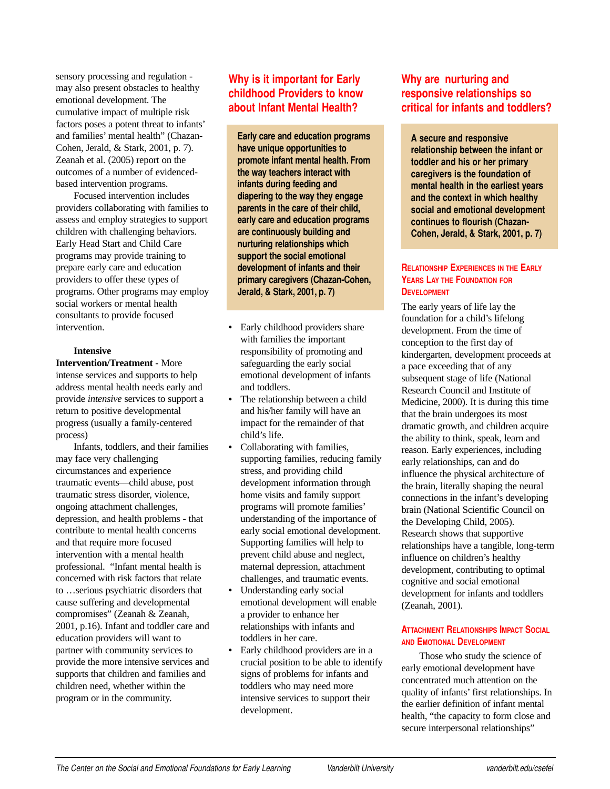sensory processing and regulation may also present obstacles to healthy emotional development. The cumulative impact of multiple risk factors poses a potent threat to infants' and families' mental health" (Chazan-Cohen, Jerald, & Stark, 2001, p. 7). Zeanah et al. (2005) report on the outcomes of a number of evidencedbased intervention programs.

Focused intervention includes providers collaborating with families to assess and employ strategies to support children with challenging behaviors. Early Head Start and Child Care programs may provide training to prepare early care and education providers to offer these types of programs. Other programs may employ social workers or mental health consultants to provide focused intervention.

#### **Intensive**

**Intervention/Treatment -** More intense services and supports to help address mental health needs early and provide *intensive* services to support a return to positive developmental progress (usually a family-centered process)

Infants, toddlers, and their families may face very challenging circumstances and experience traumatic events—child abuse, post traumatic stress disorder, violence, ongoing attachment challenges, depression, and health problems - that contribute to mental health concerns and that require more focused intervention with a mental health professional. "Infant mental health is concerned with risk factors that relate to …serious psychiatric disorders that cause suffering and developmental compromises" (Zeanah & Zeanah, 2001, p.16). Infant and toddler care and education providers will want to partner with community services to provide the more intensive services and supports that children and families and children need, whether within the program or in the community.

## **Why is it important for Early childhood Providers to know about Infant Mental Health?**

**Early care and education programs have unique opportunities to promote infant mental health. From the way teachers interact with infants during feeding and diapering to the way they engage parents in the care of their child, early care and education programs are continuously building and nurturing relationships which support the social emotional development of infants and their primary caregivers (Chazan-Cohen, Jerald, & Stark, 2001, p. 7)**

- **•** Early childhood providers share with families the important responsibility of promoting and safeguarding the early social emotional development of infants and toddlers.
- **•** The relationship between a child and his/her family will have an impact for the remainder of that child's life.
- **•** Collaborating with families, supporting families, reducing family stress, and providing child development information through home visits and family support programs will promote families' understanding of the importance of early social emotional development. Supporting families will help to prevent child abuse and neglect, maternal depression, attachment challenges, and traumatic events.
- **•** Understanding early social emotional development will enable a provider to enhance her relationships with infants and toddlers in her care.
- **•** Early childhood providers are in a crucial position to be able to identify signs of problems for infants and toddlers who may need more intensive services to support their development.

### **Why are nurturing and responsive relationships so critical for infants and toddlers?**

**A secure and responsive relationship between the infant or toddler and his or her primary caregivers is the foundation of mental health in the earliest years and the context in which healthy social and emotional development continues to flourish (Chazan-Cohen, Jerald, & Stark, 2001, p. 7)**

#### **RELATIONSHIP EXPERIENCES IN THE EARLY YEARS LAY THE FOUNDATION FOR DEVELOPMENT**

The early years of life lay the foundation for a child's lifelong development. From the time of conception to the first day of kindergarten, development proceeds at a pace exceeding that of any subsequent stage of life (National Research Council and Institute of Medicine, 2000). It is during this time that the brain undergoes its most dramatic growth, and children acquire the ability to think, speak, learn and reason. Early experiences, including early relationships, can and do influence the physical architecture of the brain, literally shaping the neural connections in the infant's developing brain (National Scientific Council on the Developing Child, 2005). Research shows that supportive relationships have a tangible, long-term influence on children's healthy development, contributing to optimal cognitive and social emotional development for infants and toddlers (Zeanah, 2001).

#### **ATTACHMENT RELATIONSHIPS IMPACT SOCIAL AND EMOTIONAL DEVELOPMENT**

Those who study the science of early emotional development have concentrated much attention on the quality of infants' first relationships. In the earlier definition of infant mental health, "the capacity to form close and secure interpersonal relationships"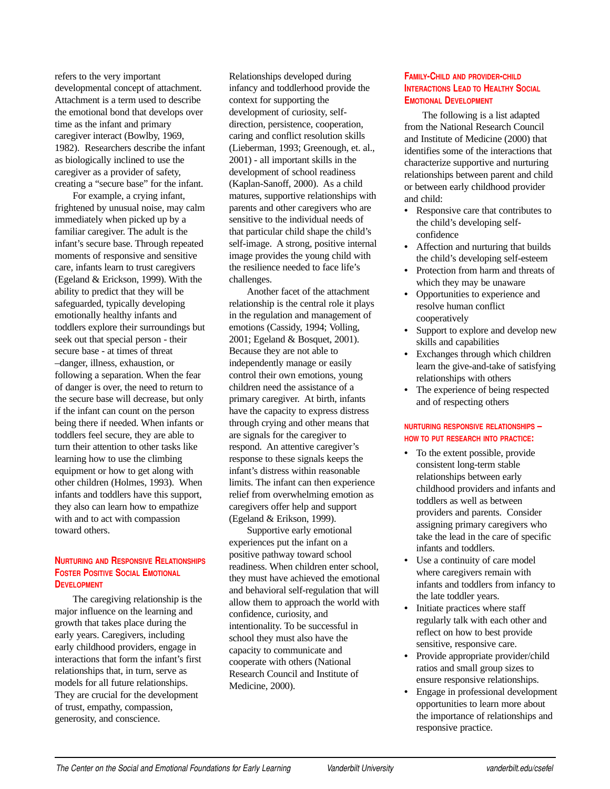refers to the very important developmental concept of attachment. Attachment is a term used to describe the emotional bond that develops over time as the infant and primary caregiver interact (Bowlby, 1969, 1982). Researchers describe the infant as biologically inclined to use the caregiver as a provider of safety, creating a "secure base" for the infant.

For example, a crying infant, frightened by unusual noise, may calm immediately when picked up by a familiar caregiver. The adult is the infant's secure base. Through repeated moments of responsive and sensitive care, infants learn to trust caregivers (Egeland & Erickson, 1999). With the ability to predict that they will be safeguarded, typically developing emotionally healthy infants and toddlers explore their surroundings but seek out that special person - their secure base - at times of threat –danger, illness, exhaustion, or following a separation. When the fear of danger is over, the need to return to the secure base will decrease, but only if the infant can count on the person being there if needed. When infants or toddlers feel secure, they are able to turn their attention to other tasks like learning how to use the climbing equipment or how to get along with other children (Holmes, 1993). When infants and toddlers have this support, they also can learn how to empathize with and to act with compassion toward others.

#### **NURTURING AND RESPONSIVE RELATIONSHIPS FOSTER POSITIVE SOCIAL EMOTIONAL DEVELOPMENT**

The caregiving relationship is the major influence on the learning and growth that takes place during the early years. Caregivers, including early childhood providers, engage in interactions that form the infant's first relationships that, in turn, serve as models for all future relationships. They are crucial for the development of trust, empathy, compassion, generosity, and conscience.

Relationships developed during infancy and toddlerhood provide the context for supporting the development of curiosity, selfdirection, persistence, cooperation, caring and conflict resolution skills (Lieberman, 1993; Greenough, et. al., 2001) - all important skills in the development of school readiness (Kaplan-Sanoff, 2000). As a child matures, supportive relationships with parents and other caregivers who are sensitive to the individual needs of that particular child shape the child's self-image. A strong, positive internal image provides the young child with the resilience needed to face life's challenges.

Another facet of the attachment relationship is the central role it plays in the regulation and management of emotions (Cassidy, 1994; Volling, 2001; Egeland & Bosquet, 2001). Because they are not able to independently manage or easily control their own emotions, young children need the assistance of a primary caregiver. At birth, infants have the capacity to express distress through crying and other means that are signals for the caregiver to respond. An attentive caregiver's response to these signals keeps the infant's distress within reasonable limits. The infant can then experience relief from overwhelming emotion as caregivers offer help and support (Egeland & Erikson, 1999).

Supportive early emotional experiences put the infant on a positive pathway toward school readiness. When children enter school, they must have achieved the emotional and behavioral self-regulation that will allow them to approach the world with confidence, curiosity, and intentionality. To be successful in school they must also have the capacity to communicate and cooperate with others (National Research Council and Institute of Medicine, 2000).

#### **FAMILY-CHILD AND PROVIDER-CHILD INTERACTIONS LEAD TO HEALTHY SOCIAL EMOTIONAL DEVELOPMENT**

The following is a list adapted from the National Research Council and Institute of Medicine (2000) that identifies some of the interactions that characterize supportive and nurturing relationships between parent and child or between early childhood provider and child:

- **•** Responsive care that contributes to the child's developing selfconfidence
- **•** Affection and nurturing that builds the child's developing self-esteem
- **•** Protection from harm and threats of which they may be unaware
- **•** Opportunities to experience and resolve human conflict cooperatively
- **•** Support to explore and develop new skills and capabilities
- **•** Exchanges through which children learn the give-and-take of satisfying relationships with others
- **•** The experience of being respected and of respecting others

#### **NURTURING RESPONSIVE RELATIONSHIPS – HOW TO PUT RESEARCH INTO PRACTICE:**

- **•** To the extent possible, provide consistent long-term stable relationships between early childhood providers and infants and toddlers as well as between providers and parents. Consider assigning primary caregivers who take the lead in the care of specific infants and toddlers.
- **•** Use a continuity of care model where caregivers remain with infants and toddlers from infancy to the late toddler years.
- **•** Initiate practices where staff regularly talk with each other and reflect on how to best provide sensitive, responsive care.
- **•** Provide appropriate provider/child ratios and small group sizes to ensure responsive relationships.
- **•** Engage in professional development opportunities to learn more about the importance of relationships and responsive practice.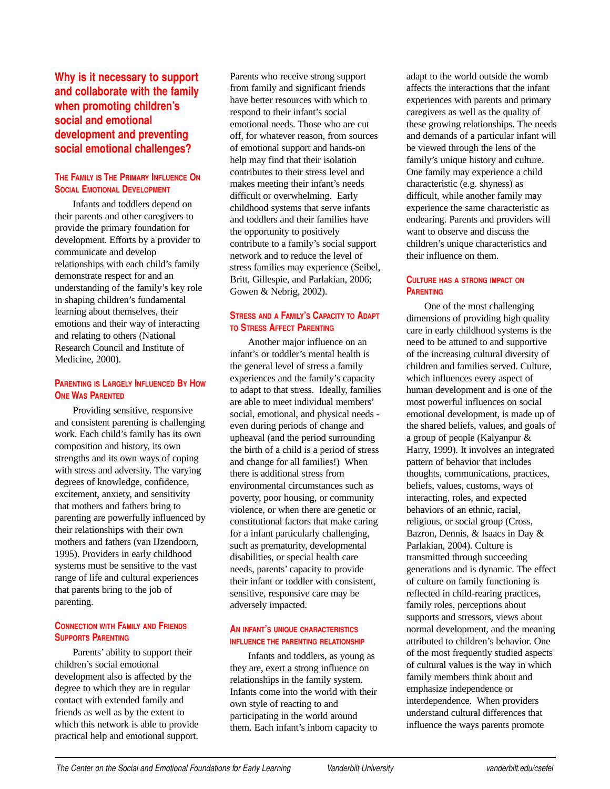**Why is it necessary to support and collaborate with the family when promoting children's social and emotional development and preventing social emotional challenges?** 

#### **THE FAMILY IS THE PRIMARY INFLUENCE ON SOCIAL EMOTIONAL DEVELOPMENT**

Infants and toddlers depend on their parents and other caregivers to provide the primary foundation for development. Efforts by a provider to communicate and develop relationships with each child's family demonstrate respect for and an understanding of the family's key role in shaping children's fundamental learning about themselves, their emotions and their way of interacting and relating to others (National Research Council and Institute of Medicine, 2000).

#### **PARENTING IS LARGELY INFLUENCED BY HOW ONE WAS PARENTED**

Providing sensitive, responsive and consistent parenting is challenging work. Each child's family has its own composition and history, its own strengths and its own ways of coping with stress and adversity. The varying degrees of knowledge, confidence, excitement, anxiety, and sensitivity that mothers and fathers bring to parenting are powerfully influenced by their relationships with their own mothers and fathers (van IJzendoorn, 1995). Providers in early childhood systems must be sensitive to the vast range of life and cultural experiences that parents bring to the job of parenting.

#### **CONNECTION WITH FAMILY AND FRIENDS SUPPORTS PARENTING**

Parents' ability to support their children's social emotional development also is affected by the degree to which they are in regular contact with extended family and friends as well as by the extent to which this network is able to provide practical help and emotional support. Parents who receive strong support from family and significant friends have better resources with which to respond to their infant's social emotional needs. Those who are cut off, for whatever reason, from sources of emotional support and hands-on help may find that their isolation contributes to their stress level and makes meeting their infant's needs difficult or overwhelming. Early childhood systems that serve infants and toddlers and their families have the opportunity to positively contribute to a family's social support network and to reduce the level of stress families may experience (Seibel, Britt, Gillespie, and Parlakian, 2006; Gowen & Nebrig, 2002).

#### **STRESS AND A FAMILY'S CAPACITY TO ADAPT TO STRESS AFFECT PARENTING**

Another major influence on an infant's or toddler's mental health is the general level of stress a family experiences and the family's capacity to adapt to that stress. Ideally, families are able to meet individual members' social, emotional, and physical needs even during periods of change and upheaval (and the period surrounding the birth of a child is a period of stress and change for all families!) When there is additional stress from environmental circumstances such as poverty, poor housing, or community violence, or when there are genetic or constitutional factors that make caring for a infant particularly challenging, such as prematurity, developmental disabilities, or special health care needs, parents' capacity to provide their infant or toddler with consistent, sensitive, responsive care may be adversely impacted.

#### **AN INFANT'S UNIQUE CHARACTERISTICS INFLUENCE THE PARENTING RELATIONSHIP**

Infants and toddlers, as young as they are, exert a strong influence on relationships in the family system. Infants come into the world with their own style of reacting to and participating in the world around them. Each infant's inborn capacity to

adapt to the world outside the womb affects the interactions that the infant experiences with parents and primary caregivers as well as the quality of these growing relationships. The needs and demands of a particular infant will be viewed through the lens of the family's unique history and culture. One family may experience a child characteristic (e.g. shyness) as difficult, while another family may experience the same characteristic as endearing. Parents and providers will want to observe and discuss the children's unique characteristics and their influence on them.

#### **CULTURE HAS A STRONG IMPACT ON PARENTING**

One of the most challenging dimensions of providing high quality care in early childhood systems is the need to be attuned to and supportive of the increasing cultural diversity of children and families served. Culture, which influences every aspect of human development and is one of the most powerful influences on social emotional development, is made up of the shared beliefs, values, and goals of a group of people (Kalyanpur & Harry, 1999). It involves an integrated pattern of behavior that includes thoughts, communications, practices, beliefs, values, customs, ways of interacting, roles, and expected behaviors of an ethnic, racial, religious, or social group (Cross, Bazron, Dennis, & Isaacs in Day & Parlakian, 2004). Culture is transmitted through succeeding generations and is dynamic. The effect of culture on family functioning is reflected in child-rearing practices, family roles, perceptions about supports and stressors, views about normal development, and the meaning attributed to children's behavior. One of the most frequently studied aspects of cultural values is the way in which family members think about and emphasize independence or interdependence. When providers understand cultural differences that influence the ways parents promote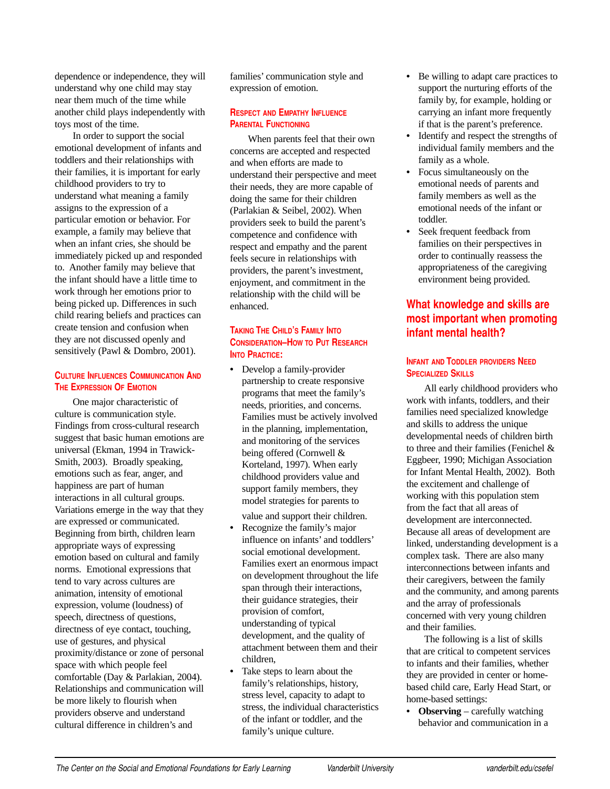dependence or independence, they will understand why one child may stay near them much of the time while another child plays independently with toys most of the time.

In order to support the social emotional development of infants and toddlers and their relationships with their families, it is important for early childhood providers to try to understand what meaning a family assigns to the expression of a particular emotion or behavior. For example, a family may believe that when an infant cries, she should be immediately picked up and responded to. Another family may believe that the infant should have a little time to work through her emotions prior to being picked up. Differences in such child rearing beliefs and practices can create tension and confusion when they are not discussed openly and sensitively (Pawl & Dombro, 2001).

#### **CULTURE INFLUENCES COMMUNICATION AND THE EXPRESSION OF EMOTION**

One major characteristic of culture is communication style. Findings from cross-cultural research suggest that basic human emotions are universal (Ekman, 1994 in Trawick-Smith, 2003). Broadly speaking, emotions such as fear, anger, and happiness are part of human interactions in all cultural groups. Variations emerge in the way that they are expressed or communicated. Beginning from birth, children learn appropriate ways of expressing emotion based on cultural and family norms. Emotional expressions that tend to vary across cultures are animation, intensity of emotional expression, volume (loudness) of speech, directness of questions, directness of eye contact, touching, use of gestures, and physical proximity/distance or zone of personal space with which people feel comfortable (Day & Parlakian, 2004). Relationships and communication will be more likely to flourish when providers observe and understand cultural difference in children's and

families' communication style and expression of emotion.

#### **RESPECT AND EMPATHY INFLUENCE PARENTAL FUNCTIONING**

When parents feel that their own concerns are accepted and respected and when efforts are made to understand their perspective and meet their needs, they are more capable of doing the same for their children (Parlakian & Seibel, 2002). When providers seek to build the parent's competence and confidence with respect and empathy and the parent feels secure in relationships with providers, the parent's investment, enjoyment, and commitment in the relationship with the child will be enhanced.

#### **TAKING THE CHILD'S FAMILY INTO CONSIDERATION–HOW TO PUT RESEARCH INTO PRACTICE:**

**•** Develop a family-provider partnership to create responsive programs that meet the family's needs, priorities, and concerns. Families must be actively involved in the planning, implementation, and monitoring of the services being offered (Cornwell & Korteland, 1997). When early childhood providers value and support family members, they model strategies for parents to

value and support their children.

- **•** Recognize the family's major influence on infants' and toddlers' social emotional development. Families exert an enormous impact on development throughout the life span through their interactions, their guidance strategies, their provision of comfort, understanding of typical development, and the quality of attachment between them and their children,
- **•** Take steps to learn about the family's relationships, history, stress level, capacity to adapt to stress, the individual characteristics of the infant or toddler, and the family's unique culture.
- **•** Be willing to adapt care practices to support the nurturing efforts of the family by, for example, holding or carrying an infant more frequently if that is the parent's preference.
- **•** Identify and respect the strengths of individual family members and the family as a whole.
- **•** Focus simultaneously on the emotional needs of parents and family members as well as the emotional needs of the infant or toddler.
- **•** Seek frequent feedback from families on their perspectives in order to continually reassess the appropriateness of the caregiving environment being provided.

## **What knowledge and skills are most important when promoting infant mental health?**

#### **INFANT AND TODDLER PROVIDERS NEED SPECIALIZED SKILLS**

All early childhood providers who work with infants, toddlers, and their families need specialized knowledge and skills to address the unique developmental needs of children birth to three and their families (Fenichel & Eggbeer, 1990; Michigan Association for Infant Mental Health, 2002). Both the excitement and challenge of working with this population stem from the fact that all areas of development are interconnected. Because all areas of development are linked, understanding development is a complex task. There are also many interconnections between infants and their caregivers, between the family and the community, and among parents and the array of professionals concerned with very young children and their families.

The following is a list of skills that are critical to competent services to infants and their families, whether they are provided in center or homebased child care, Early Head Start, or home-based settings:

**• Observing** – carefully watching behavior and communication in a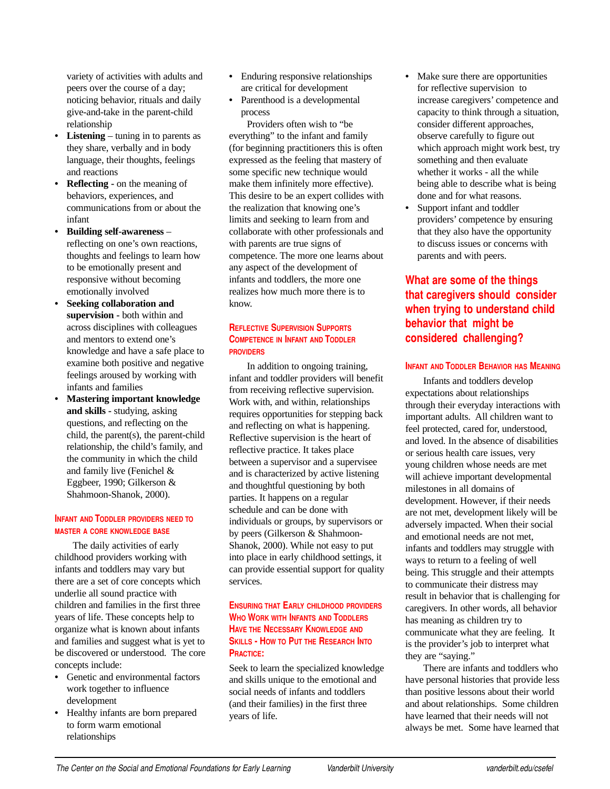variety of activities with adults and peers over the course of a day; noticing behavior, rituals and daily give-and-take in the parent-child relationship

- **Listening** tuning in to parents as they share, verbally and in body language, their thoughts, feelings and reactions
- **Reflecting -** on the meaning of behaviors, experiences, and communications from or about the infant
- **Building self-awareness** reflecting on one's own reactions, thoughts and feelings to learn how to be emotionally present and responsive without becoming emotionally involved
- **Seeking collaboration and supervision -** both within and across disciplines with colleagues and mentors to extend one's knowledge and have a safe place to examine both positive and negative feelings aroused by working with infants and families
- **Mastering important knowledge and skills -** studying, asking questions, and reflecting on the child, the parent(s), the parent-child relationship, the child's family, and the community in which the child and family live (Fenichel & Eggbeer, 1990; Gilkerson & Shahmoon-Shanok, 2000).

#### **INFANT AND TODDLER PROVIDERS NEED TO MASTER A CORE KNOWLEDGE BASE**

The daily activities of early childhood providers working with infants and toddlers may vary but there are a set of core concepts which underlie all sound practice with children and families in the first three years of life. These concepts help to organize what is known about infants and families and suggest what is yet to be discovered or understood. The core concepts include:

- **•** Genetic and environmental factors work together to influence development
- **•** Healthy infants are born prepared to form warm emotional relationships
- Enduring responsive relationships are critical for development
- **•** Parenthood is a developmental process

Providers often wish to "be everything" to the infant and family (for beginning practitioners this is often expressed as the feeling that mastery of some specific new technique would make them infinitely more effective). This desire to be an expert collides with the realization that knowing one's limits and seeking to learn from and collaborate with other professionals and with parents are true signs of competence. The more one learns about any aspect of the development of infants and toddlers, the more one realizes how much more there is to know.

#### **REFLECTIVE SUPERVISION SUPPORTS COMPETENCE IN INFANT AND TODDLER PROVIDERS**

In addition to ongoing training, infant and toddler providers will benefit from receiving reflective supervision. Work with, and within, relationships requires opportunities for stepping back and reflecting on what is happening. Reflective supervision is the heart of reflective practice. It takes place between a supervisor and a supervisee and is characterized by active listening and thoughtful questioning by both parties. It happens on a regular schedule and can be done with individuals or groups, by supervisors or by peers (Gilkerson & Shahmoon-Shanok, 2000). While not easy to put into place in early childhood settings, it can provide essential support for quality services.

#### **ENSURING THAT EARLY CHILDHOOD PROVIDERS WHO WORK WITH INFANTS AND TODDLERS HAVE THE NECESSARY KNOWLEDGE AND SKILLS - HOW TO PUT THE RESEARCH INTO PRACTICE:**

Seek to learn the specialized knowledge and skills unique to the emotional and social needs of infants and toddlers (and their families) in the first three years of life.

- Make sure there are opportunities for reflective supervision to increase caregivers' competence and capacity to think through a situation, consider different approaches, observe carefully to figure out which approach might work best, try something and then evaluate whether it works - all the while being able to describe what is being done and for what reasons.
- **•** Support infant and toddler providers' competence by ensuring that they also have the opportunity to discuss issues or concerns with parents and with peers.

## **What are some of the things that caregivers should consider when trying to understand child behavior that might be considered challenging?**

#### **INFANT AND TODDLER BEHAVIOR HAS MEANING**

Infants and toddlers develop expectations about relationships through their everyday interactions with important adults. All children want to feel protected, cared for, understood, and loved. In the absence of disabilities or serious health care issues, very young children whose needs are met will achieve important developmental milestones in all domains of development. However, if their needs are not met, development likely will be adversely impacted. When their social and emotional needs are not met, infants and toddlers may struggle with ways to return to a feeling of well being. This struggle and their attempts to communicate their distress may result in behavior that is challenging for caregivers. In other words, all behavior has meaning as children try to communicate what they are feeling. It is the provider's job to interpret what they are "saying."

There are infants and toddlers who have personal histories that provide less than positive lessons about their world and about relationships. Some children have learned that their needs will not always be met. Some have learned that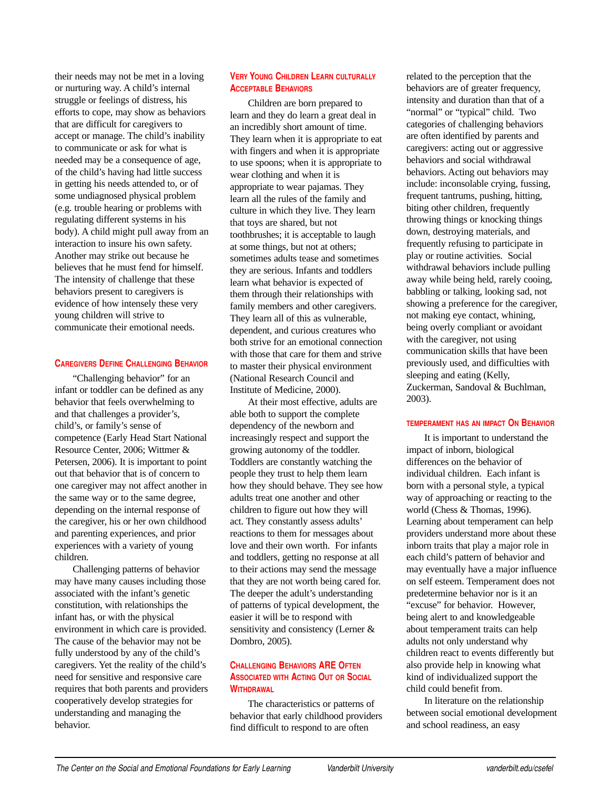their needs may not be met in a loving or nurturing way. A child's internal struggle or feelings of distress, his efforts to cope, may show as behaviors that are difficult for caregivers to accept or manage. The child's inability to communicate or ask for what is needed may be a consequence of age, of the child's having had little success in getting his needs attended to, or of some undiagnosed physical problem (e.g. trouble hearing or problems with regulating different systems in his body). A child might pull away from an interaction to insure his own safety. Another may strike out because he believes that he must fend for himself. The intensity of challenge that these behaviors present to caregivers is evidence of how intensely these very young children will strive to communicate their emotional needs.

#### **CAREGIVERS DEFINE CHALLENGING BEHAVIOR**

"Challenging behavior" for an infant or toddler can be defined as any behavior that feels overwhelming to and that challenges a provider's, child's, or family's sense of competence (Early Head Start National Resource Center, 2006; Wittmer & Petersen, 2006). It is important to point out that behavior that is of concern to one caregiver may not affect another in the same way or to the same degree, depending on the internal response of the caregiver, his or her own childhood and parenting experiences, and prior experiences with a variety of young children.

Challenging patterns of behavior may have many causes including those associated with the infant's genetic constitution, with relationships the infant has, or with the physical environment in which care is provided. The cause of the behavior may not be fully understood by any of the child's caregivers. Yet the reality of the child's need for sensitive and responsive care requires that both parents and providers cooperatively develop strategies for understanding and managing the behavior.

#### **VERY YOUNG CHILDREN LEARN CULTURALLY ACCEPTABLE BEHAVIORS**

Children are born prepared to learn and they do learn a great deal in an incredibly short amount of time. They learn when it is appropriate to eat with fingers and when it is appropriate to use spoons; when it is appropriate to wear clothing and when it is appropriate to wear pajamas. They learn all the rules of the family and culture in which they live. They learn that toys are shared, but not toothbrushes; it is acceptable to laugh at some things, but not at others; sometimes adults tease and sometimes they are serious. Infants and toddlers learn what behavior is expected of them through their relationships with family members and other caregivers. They learn all of this as vulnerable, dependent, and curious creatures who both strive for an emotional connection with those that care for them and strive to master their physical environment (National Research Council and Institute of Medicine, 2000).

At their most effective, adults are able both to support the complete dependency of the newborn and increasingly respect and support the growing autonomy of the toddler. Toddlers are constantly watching the people they trust to help them learn how they should behave. They see how adults treat one another and other children to figure out how they will act. They constantly assess adults' reactions to them for messages about love and their own worth. For infants and toddlers, getting no response at all to their actions may send the message that they are not worth being cared for. The deeper the adult's understanding of patterns of typical development, the easier it will be to respond with sensitivity and consistency (Lerner & Dombro, 2005).

#### **CHALLENGING BEHAVIORS ARE OFTEN ASSOCIATED WITH ACTING OUT OR SOCIAL WITHDRAWAL**

The characteristics or patterns of behavior that early childhood providers find difficult to respond to are often

related to the perception that the behaviors are of greater frequency, intensity and duration than that of a "normal" or "typical" child. Two categories of challenging behaviors are often identified by parents and caregivers: acting out or aggressive behaviors and social withdrawal behaviors. Acting out behaviors may include: inconsolable crying, fussing, frequent tantrums, pushing, hitting, biting other children, frequently throwing things or knocking things down, destroying materials, and frequently refusing to participate in play or routine activities. Social withdrawal behaviors include pulling away while being held, rarely cooing, babbling or talking, looking sad, not showing a preference for the caregiver, not making eye contact, whining, being overly compliant or avoidant with the caregiver, not using communication skills that have been previously used, and difficulties with sleeping and eating (Kelly, Zuckerman, Sandoval & Buchlman, 2003).

#### **TEMPERAMENT HAS AN IMPACT ON BEHAVIOR**

It is important to understand the impact of inborn, biological differences on the behavior of individual children. Each infant is born with a personal style, a typical way of approaching or reacting to the world (Chess & Thomas, 1996). Learning about temperament can help providers understand more about these inborn traits that play a major role in each child's pattern of behavior and may eventually have a major influence on self esteem. Temperament does not predetermine behavior nor is it an "excuse" for behavior. However, being alert to and knowledgeable about temperament traits can help adults not only understand why children react to events differently but also provide help in knowing what kind of individualized support the child could benefit from.

In literature on the relationship between social emotional development and school readiness, an easy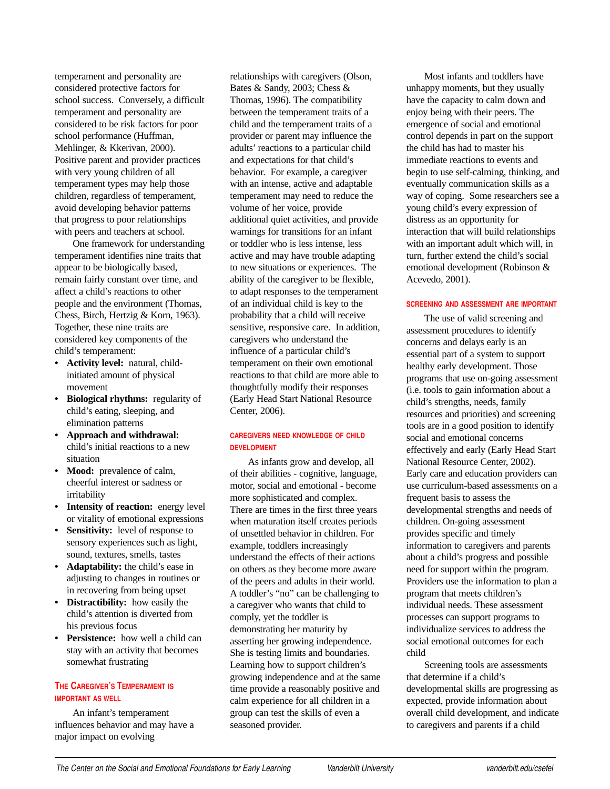temperament and personality are considered protective factors for school success. Conversely, a difficult temperament and personality are considered to be risk factors for poor school performance (Huffman, Mehlinger, & Kkerivan, 2000). Positive parent and provider practices with very young children of all temperament types may help those children, regardless of temperament, avoid developing behavior patterns that progress to poor relationships with peers and teachers at school.

One framework for understanding temperament identifies nine traits that appear to be biologically based, remain fairly constant over time, and affect a child's reactions to other people and the environment (Thomas, Chess, Birch, Hertzig & Korn, 1963). Together, these nine traits are considered key components of the child's temperament:

- **Activity level:** natural, childinitiated amount of physical movement
- **Biological rhythms:** regularity of child's eating, sleeping, and elimination patterns
- **Approach and withdrawal:** child's initial reactions to a new situation
- **Mood:** prevalence of calm, cheerful interest or sadness or irritability
- **Intensity of reaction:** energy level or vitality of emotional expressions
- **Sensitivity:** level of response to sensory experiences such as light, sound, textures, smells, tastes
- **Adaptability:** the child's ease in adjusting to changes in routines or in recovering from being upset
- **Distractibility:** how easily the child's attention is diverted from his previous focus
- **Persistence:** how well a child can stay with an activity that becomes somewhat frustrating

#### **THE CAREGIVER'S TEMPERAMENT IS IMPORTANT AS WELL**

An infant's temperament influences behavior and may have a major impact on evolving

relationships with caregivers (Olson, Bates & Sandy, 2003; Chess & Thomas, 1996). The compatibility between the temperament traits of a child and the temperament traits of a provider or parent may influence the adults' reactions to a particular child and expectations for that child's behavior. For example, a caregiver with an intense, active and adaptable temperament may need to reduce the volume of her voice, provide additional quiet activities, and provide warnings for transitions for an infant or toddler who is less intense, less active and may have trouble adapting to new situations or experiences. The ability of the caregiver to be flexible, to adapt responses to the temperament of an individual child is key to the probability that a child will receive sensitive, responsive care. In addition, caregivers who understand the influence of a particular child's temperament on their own emotional reactions to that child are more able to thoughtfully modify their responses (Early Head Start National Resource Center, 2006).

#### **CAREGIVERS NEED KNOWLEDGE OF CHILD DEVELOPMENT**

As infants grow and develop, all of their abilities - cognitive, language, motor, social and emotional - become more sophisticated and complex. There are times in the first three years when maturation itself creates periods of unsettled behavior in children. For example, toddlers increasingly understand the effects of their actions on others as they become more aware of the peers and adults in their world. A toddler's "no" can be challenging to a caregiver who wants that child to comply, yet the toddler is demonstrating her maturity by asserting her growing independence. She is testing limits and boundaries. Learning how to support children's growing independence and at the same time provide a reasonably positive and calm experience for all children in a group can test the skills of even a seasoned provider.

Most infants and toddlers have unhappy moments, but they usually have the capacity to calm down and enjoy being with their peers. The emergence of social and emotional control depends in part on the support the child has had to master his immediate reactions to events and begin to use self-calming, thinking, and eventually communication skills as a way of coping. Some researchers see a young child's every expression of distress as an opportunity for interaction that will build relationships with an important adult which will, in turn, further extend the child's social emotional development (Robinson & Acevedo, 2001).

#### **SCREENING AND ASSESSMENT ARE IMPORTANT**

The use of valid screening and assessment procedures to identify concerns and delays early is an essential part of a system to support healthy early development. Those programs that use on-going assessment (i.e. tools to gain information about a child's strengths, needs, family resources and priorities) and screening tools are in a good position to identify social and emotional concerns effectively and early (Early Head Start National Resource Center, 2002). Early care and education providers can use curriculum-based assessments on a frequent basis to assess the developmental strengths and needs of children. On-going assessment provides specific and timely information to caregivers and parents about a child's progress and possible need for support within the program. Providers use the information to plan a program that meets children's individual needs. These assessment processes can support programs to individualize services to address the social emotional outcomes for each child

Screening tools are assessments that determine if a child's developmental skills are progressing as expected, provide information about overall child development, and indicate to caregivers and parents if a child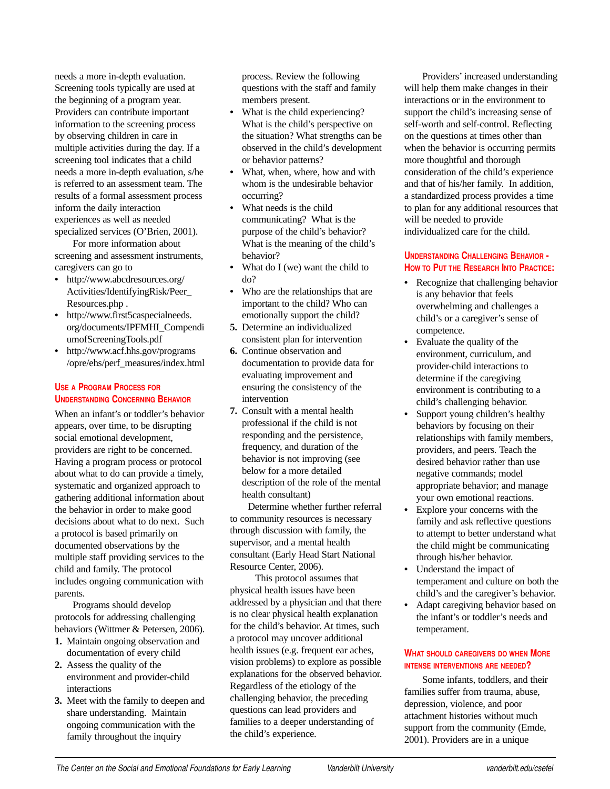needs a more in-depth evaluation. Screening tools typically are used at the beginning of a program year. Providers can contribute important information to the screening process by observing children in care in multiple activities during the day. If a screening tool indicates that a child needs a more in-depth evaluation, s/he is referred to an assessment team. The results of a formal assessment process inform the daily interaction experiences as well as needed specialized services (O'Brien, 2001).

For more information about screening and assessment instruments, caregivers can go to

- **•** http://www.abcdresources.org/ Activities/IdentifyingRisk/Peer\_ Resources.php .
- http://www.first5caspecialneeds. org/documents/IPFMHI\_Compendi umofScreeningTools.pdf
- **•** http://www.acf.hhs.gov/programs /opre/ehs/perf\_measures/index.html

#### **USE A PROGRAM PROCESS FOR UNDERSTANDING CONCERNING BEHAVIOR**

When an infant's or toddler's behavior appears, over time, to be disrupting social emotional development, providers are right to be concerned. Having a program process or protocol about what to do can provide a timely, systematic and organized approach to gathering additional information about the behavior in order to make good decisions about what to do next. Such a protocol is based primarily on documented observations by the multiple staff providing services to the child and family. The protocol includes ongoing communication with parents.

Programs should develop protocols for addressing challenging behaviors (Wittmer & Petersen, 2006).

- **1.** Maintain ongoing observation and documentation of every child
- **2.** Assess the quality of the environment and provider-child interactions
- **3.** Meet with the family to deepen and share understanding. Maintain ongoing communication with the family throughout the inquiry

process. Review the following questions with the staff and family members present.

- What is the child experiencing? What is the child's perspective on the situation? What strengths can be observed in the child's development or behavior patterns?
- **•** What, when, where, how and with whom is the undesirable behavior occurring?
- **•** What needs is the child communicating? What is the purpose of the child's behavior? What is the meaning of the child's behavior?
- What do I (we) want the child to  $d<sub>0</sub>$ ?
- **•** Who are the relationships that are important to the child? Who can emotionally support the child?
- **5.** Determine an individualized consistent plan for intervention
- **6.** Continue observation and documentation to provide data for evaluating improvement and ensuring the consistency of the intervention
- **7.** Consult with a mental health professional if the child is not responding and the persistence, frequency, and duration of the behavior is not improving (see below for a more detailed description of the role of the mental health consultant)

Determine whether further referral to community resources is necessary through discussion with family, the supervisor, and a mental health consultant (Early Head Start National Resource Center, 2006).

This protocol assumes that physical health issues have been addressed by a physician and that there is no clear physical health explanation for the child's behavior. At times, such a protocol may uncover additional health issues (e.g. frequent ear aches, vision problems) to explore as possible explanations for the observed behavior. Regardless of the etiology of the challenging behavior, the preceding questions can lead providers and families to a deeper understanding of the child's experience.

Providers' increased understanding will help them make changes in their interactions or in the environment to support the child's increasing sense of self-worth and self-control. Reflecting on the questions at times other than when the behavior is occurring permits more thoughtful and thorough consideration of the child's experience and that of his/her family. In addition, a standardized process provides a time to plan for any additional resources that will be needed to provide individualized care for the child.

#### **UNDERSTANDING CHALLENGING BEHAVIOR - HOW TO PUT THE RESEARCH INTO PRACTICE:**

- **•** Recognize that challenging behavior is any behavior that feels overwhelming and challenges a child's or a caregiver's sense of competence.
- **•** Evaluate the quality of the environment, curriculum, and provider-child interactions to determine if the caregiving environment is contributing to a child's challenging behavior.
- **•** Support young children's healthy behaviors by focusing on their relationships with family members, providers, and peers. Teach the desired behavior rather than use negative commands; model appropriate behavior; and manage your own emotional reactions.
- **•** Explore your concerns with the family and ask reflective questions to attempt to better understand what the child might be communicating through his/her behavior.
- **•** Understand the impact of temperament and culture on both the child's and the caregiver's behavior.
- Adapt caregiving behavior based on the infant's or toddler's needs and temperament.

#### **WHAT SHOULD CAREGIVERS DO WHEN MORE INTENSE INTERVENTIONS ARE NEEDED?**

Some infants, toddlers, and their families suffer from trauma, abuse, depression, violence, and poor attachment histories without much support from the community (Emde, 2001). Providers are in a unique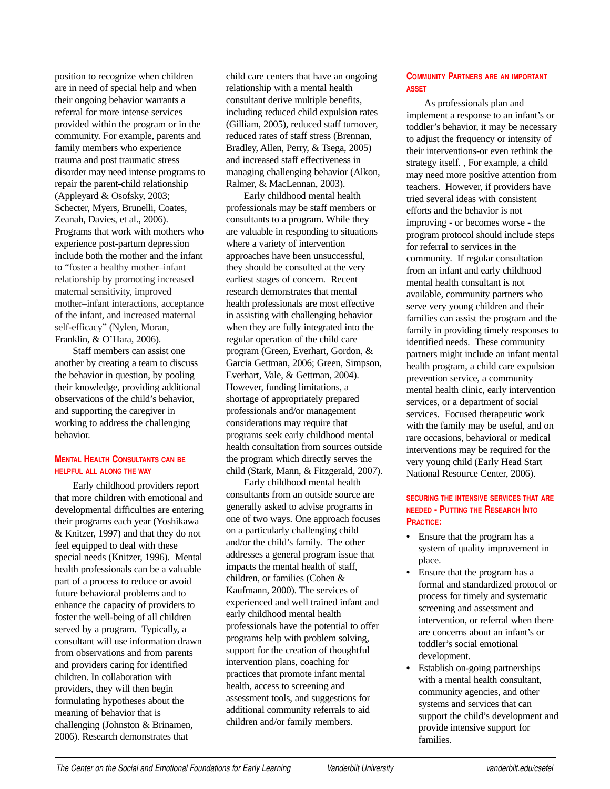position to recognize when children are in need of special help and when their ongoing behavior warrants a referral for more intense services provided within the program or in the community. For example, parents and family members who experience trauma and post traumatic stress disorder may need intense programs to repair the parent-child relationship (Appleyard & Osofsky, 2003; Schecter, Myers, Brunelli, Coates, Zeanah, Davies, et al., 2006). Programs that work with mothers who experience post-partum depression include both the mother and the infant to "foster a healthy mother–infant relationship by promoting increased maternal sensitivity, improved mother–infant interactions, acceptance of the infant, and increased maternal self-efficacy" (Nylen, Moran, Franklin, & O'Hara, 2006).

Staff members can assist one another by creating a team to discuss the behavior in question, by pooling their knowledge, providing additional observations of the child's behavior, and supporting the caregiver in working to address the challenging behavior.

#### **MENTAL HEALTH CONSULTANTS CAN BE HELPFUL ALL ALONG THE WAY**

Early childhood providers report that more children with emotional and developmental difficulties are entering their programs each year (Yoshikawa & Knitzer, 1997) and that they do not feel equipped to deal with these special needs (Knitzer, 1996). Mental health professionals can be a valuable part of a process to reduce or avoid future behavioral problems and to enhance the capacity of providers to foster the well-being of all children served by a program. Typically, a consultant will use information drawn from observations and from parents and providers caring for identified children. In collaboration with providers, they will then begin formulating hypotheses about the meaning of behavior that is challenging (Johnston & Brinamen, 2006). Research demonstrates that

child care centers that have an ongoing relationship with a mental health consultant derive multiple benefits, including reduced child expulsion rates (Gilliam, 2005), reduced staff turnover, reduced rates of staff stress (Brennan, Bradley, Allen, Perry, & Tsega, 2005) and increased staff effectiveness in managing challenging behavior (Alkon, Ralmer, & MacLennan, 2003).

Early childhood mental health professionals may be staff members or consultants to a program. While they are valuable in responding to situations where a variety of intervention approaches have been unsuccessful, they should be consulted at the very earliest stages of concern. Recent research demonstrates that mental health professionals are most effective in assisting with challenging behavior when they are fully integrated into the regular operation of the child care program (Green, Everhart, Gordon, & Garcia Gettman, 2006; Green, Simpson, Everhart, Vale, & Gettman, 2004). However, funding limitations, a shortage of appropriately prepared professionals and/or management considerations may require that programs seek early childhood mental health consultation from sources outside the program which directly serves the child (Stark, Mann, & Fitzgerald, 2007).

Early childhood mental health consultants from an outside source are generally asked to advise programs in one of two ways. One approach focuses on a particularly challenging child and/or the child's family. The other addresses a general program issue that impacts the mental health of staff, children, or families (Cohen & Kaufmann, 2000). The services of experienced and well trained infant and early childhood mental health professionals have the potential to offer programs help with problem solving, support for the creation of thoughtful intervention plans, coaching for practices that promote infant mental health, access to screening and assessment tools, and suggestions for additional community referrals to aid children and/or family members.

#### **COMMUNITY PARTNERS ARE AN IMPORTANT ASSET**

As professionals plan and implement a response to an infant's or toddler's behavior, it may be necessary to adjust the frequency or intensity of their interventions-or even rethink the strategy itself. , For example, a child may need more positive attention from teachers. However, if providers have tried several ideas with consistent efforts and the behavior is not improving - or becomes worse - the program protocol should include steps for referral to services in the community. If regular consultation from an infant and early childhood mental health consultant is not available, community partners who serve very young children and their families can assist the program and the family in providing timely responses to identified needs. These community partners might include an infant mental health program, a child care expulsion prevention service, a community mental health clinic, early intervention services, or a department of social services. Focused therapeutic work with the family may be useful, and on rare occasions, behavioral or medical interventions may be required for the very young child (Early Head Start National Resource Center, 2006).

#### **SECURING THE INTENSIVE SERVICES THAT ARE NEEDED - PUTTING THE RESEARCH INTO PRACTICE:**

- **•** Ensure that the program has a system of quality improvement in place.
- **•** Ensure that the program has a formal and standardized protocol or process for timely and systematic screening and assessment and intervention, or referral when there are concerns about an infant's or toddler's social emotional development.
- **•** Establish on-going partnerships with a mental health consultant, community agencies, and other systems and services that can support the child's development and provide intensive support for families.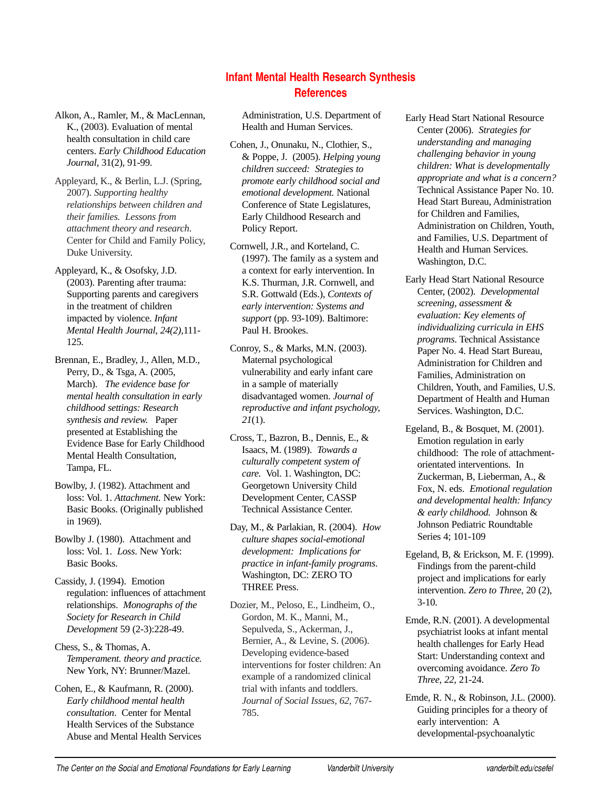## **Infant Mental Health Research Synthesis References**

Alkon, A., Ramler, M., & MacLennan, K., (2003). Evaluation of mental health consultation in child care centers. *Early Childhood Education Journal*, 31(2), 91-99.

Appleyard, K., & Berlin, L.J. (Spring, 2007). *Supporting healthy relationships between children and their families. Lessons from attachment theory and research*. Center for Child and Family Policy, Duke University.

Appleyard, K., & Osofsky, J.D. (2003). Parenting after trauma: Supporting parents and caregivers in the treatment of children impacted by violence. *Infant Mental Health Journal, 24(2),*111- 125.

Brennan, E., Bradley, J., Allen, M.D., Perry, D., & Tsga, A. (2005, March). *The evidence base for mental health consultation in early childhood settings: Research synthesis and review.* Paper presented at Establishing the Evidence Base for Early Childhood Mental Health Consultation, Tampa, FL.

Bowlby, J. (1982). Attachment and loss: Vol. 1. *Attachment.* New York: Basic Books. (Originally published in 1969).

Bowlby J. (1980). Attachment and loss: Vol. 1. *Loss*. New York: Basic Books.

Cassidy, J. (1994). Emotion regulation: influences of attachment relationships. *Monographs of the Society for Research in Child Development* 59 (2-3):228-49.

Chess, S., & Thomas, A. *Temperament. theory and practice.* New York, NY: Brunner/Mazel.

Cohen, E., & Kaufmann, R. (2000). *Early childhood mental health consultation*. Center for Mental Health Services of the Substance Abuse and Mental Health Services Administration, U.S. Department of Health and Human Services.

Cohen, J., Onunaku, N., Clothier, S., & Poppe, J. (2005). *Helping young children succeed: Strategies to promote early childhood social and emotional development.* National Conference of State Legislatures, Early Childhood Research and Policy Report.

Cornwell, J.R., and Korteland, C. (1997). The family as a system and a context for early intervention. In K.S. Thurman, J.R. Cornwell, and S.R. Gottwald (Eds.), *Contexts of early intervention: Systems and support* (pp. 93-109). Baltimore: Paul H. Brookes.

Conroy, S., & Marks, M.N. (2003). Maternal psychological vulnerability and early infant care in a sample of materially disadvantaged women. *Journal of reproductive and infant psychology, 21*(1).

Cross, T., Bazron, B., Dennis, E., & Isaacs, M. (1989). *Towards a culturally competent system of care.* Vol. 1. Washington, DC: Georgetown University Child Development Center, CASSP Technical Assistance Center.

Day, M., & Parlakian, R. (2004). *How culture shapes social-emotional development: Implications for practice in infant-family programs*. Washington, DC: ZERO TO THREE Press.

Dozier, M., Peloso, E., Lindheim, O., Gordon, M. K., Manni, M., Sepulveda, S., Ackerman, J., Bernier, A., & Levine, S. (2006). Developing evidence-based interventions for foster children: An example of a randomized clinical trial with infants and toddlers. *Journal of Social Issues, 62,* 767- 785.

Early Head Start National Resource Center (2006). *Strategies for understanding and managing challenging behavior in young children: What is developmentally appropriate and what is a concern?* Technical Assistance Paper No. 10. Head Start Bureau, Administration for Children and Families, Administration on Children, Youth, and Families, U.S. Department of Health and Human Services. Washington, D.C.

Early Head Start National Resource Center, (2002). *Developmental screening, assessment & evaluation: Key elements of individualizing curricula in EHS programs*. Technical Assistance Paper No. 4. Head Start Bureau, Administration for Children and Families, Administration on Children, Youth, and Families, U.S. Department of Health and Human Services. Washington, D.C.

Egeland, B., & Bosquet, M. (2001). Emotion regulation in early childhood: The role of attachmentorientated interventions. In Zuckerman, B, Lieberman, A., & Fox, N. eds. *Emotional regulation and developmental health: Infancy & early childhood.* Johnson & Johnson Pediatric Roundtable Series 4; 101-109

Egeland, B, & Erickson, M. F. (1999). Findings from the parent-child project and implications for early intervention. *Zero to Three,* 20 (2), 3-10.

Emde, R.N. (2001). A developmental psychiatrist looks at infant mental health challenges for Early Head Start: Understanding context and overcoming avoidance. *Zero To Three, 22,* 21-24.

Emde, R. N., & Robinson, J.L. (2000). Guiding principles for a theory of early intervention: A developmental-psychoanalytic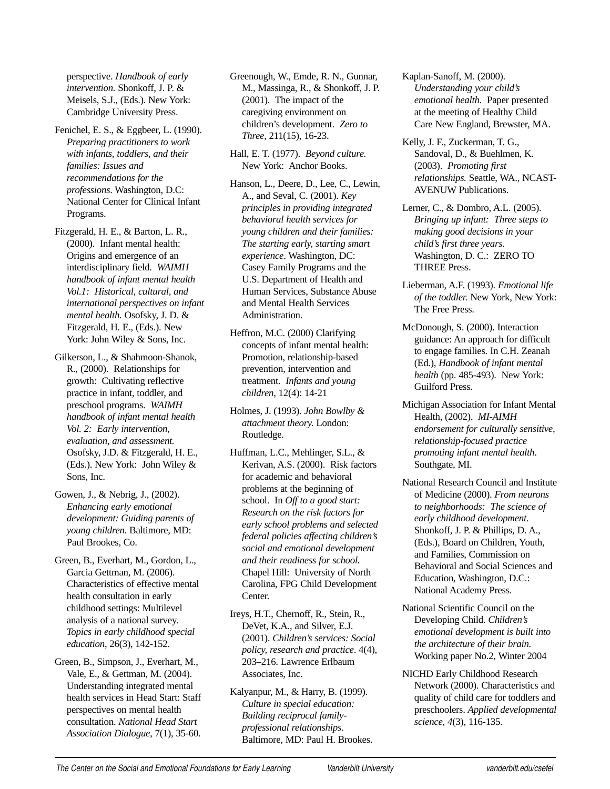perspective. *Handbook of early intervention.* Shonkoff, J. P. & Meisels, S.J., (Eds.). New York: Cambridge University Press.

Fenichel, E. S., & Eggbeer, L. (1990). *Preparing practitioners to work with infants, toddlers, and their families: Issues and recommendations for the professions*. Washington, D.C: National Center for Clinical Infant Programs.

Fitzgerald, H. E., & Barton, L. R., (2000). Infant mental health: Origins and emergence of an interdisciplinary field. *WAIMH handbook of infant mental health Vol.1: Historical, cultural, and international perspectives on infant mental health.* Osofsky, J. D. & Fitzgerald, H. E., (Eds.). New York: John Wiley & Sons, Inc.

Gilkerson, L., & Shahmoon-Shanok, R., (2000). Relationships for growth: Cultivating reflective practice in infant, toddler, and preschool programs. *WAIMH handbook of infant mental health Vol. 2: Early intervention, evaluation, and assessment.* Osofsky, J.D. & Fitzgerald, H. E., (Eds.). New York: John Wiley & Sons, Inc.

Gowen, J., & Nebrig, J., (2002). *Enhancing early emotional development: Guiding parents of young children.* Baltimore, MD: Paul Brookes, Co.

Green, B., Everhart, M., Gordon, L., Garcia Gettman, M. (2006). Characteristics of effective mental health consultation in early childhood settings: Multilevel analysis of a national survey. *Topics in early childhood special education*, 26(3), 142-152.

Green, B., Simpson, J., Everhart, M., Vale, E., & Gettman, M. (2004). Understanding integrated mental health services in Head Start: Staff perspectives on mental health consultation. *National Head Start Association Dialogue*, 7(1), 35-60.

Greenough, W., Emde, R. N., Gunnar, M., Massinga, R., & Shonkoff, J. P. (2001). The impact of the caregiving environment on children's development. *Zero to Three*, 211(15), 16-23.

Hall, E. T. (1977). *Beyond culture.* New York: Anchor Books.

Hanson, L., Deere, D., Lee, C., Lewin, A., and Seval, C. (2001). *Key principles in providing integrated behavioral health services for young children and their families: The starting early, starting smart experience*. Washington, DC: Casey Family Programs and the U.S. Department of Health and Human Services, Substance Abuse and Mental Health Services Administration.

Heffron, M.C. (2000) Clarifying concepts of infant mental health: Promotion, relationship-based prevention, intervention and treatment. *Infants and young children*, 12(4): 14-21

Holmes, J. (1993). *John Bowlby & attachment theory.* London: Routledge.

- Huffman, L.C., Mehlinger, S.L., & Kerivan, A.S. (2000). Risk factors for academic and behavioral problems at the beginning of school. In *Off to a good start: Research on the risk factors for early school problems and selected federal policies affecting children's social and emotional development and their readiness for school.* Chapel Hill: University of North Carolina, FPG Child Development Center.
- Ireys, H.T., Chernoff, R., Stein, R., DeVet, K.A., and Silver, E.J. (2001). *Children's services: Social policy, research and practice*. 4(4), 203–216. Lawrence Erlbaum Associates, Inc.
- Kalyanpur, M., & Harry, B. (1999). *Culture in special education: Building reciprocal familyprofessional relationships*. Baltimore, MD: Paul H. Brookes.

Kaplan-Sanoff, M. (2000). *Understanding your child's emotional health*. Paper presented at the meeting of Healthy Child Care New England, Brewster, MA.

Kelly, J. F., Zuckerman, T. G., Sandoval, D., & Buehlmen, K. (2003). *Promoting first relationships.* Seattle, WA., NCAST-AVENUW Publications.

Lerner, C., & Dombro, A.L. (2005). *Bringing up infant: Three steps to making good decisions in your child's first three years*. Washington, D. C.: ZERO TO THREE Press.

- Lieberman, A.F. (1993). *Emotional life of the toddler.* New York, New York: The Free Press.
- McDonough, S. (2000). Interaction guidance: An approach for difficult to engage families. In C.H. Zeanah (Ed.), *Handbook of infant mental health* (pp. 485-493). New York: Guilford Press.
- Michigan Association for Infant Mental Health, (2002). *MI-AIMH endorsement for culturally sensitive, relationship-focused practice promoting infant mental health*. Southgate, MI.
- National Research Council and Institute of Medicine (2000). *From neurons to neighborhoods: The science of early childhood development.* Shonkoff, J. P. & Phillips, D. A., (Eds.), Board on Children, Youth, and Families, Commission on Behavioral and Social Sciences and Education, Washington, D.C.: National Academy Press.
- National Scientific Council on the Developing Child. *Children's emotional development is built into the architecture of their brain.* Working paper No.2, Winter 2004
- NICHD Early Childhood Research Network (2000). Characteristics and quality of child care for toddlers and preschoolers. *Applied developmental science, 4*(3), 116-135.